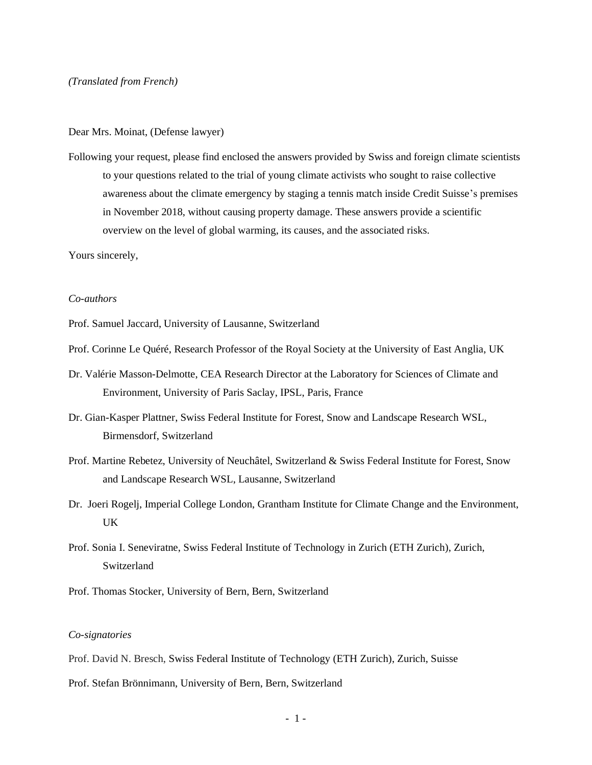#### Dear Mrs. Moinat, (Defense lawyer)

Following your request, please find enclosed the answers provided by Swiss and foreign climate scientists to your questions related to the trial of young climate activists who sought to raise collective awareness about the climate emergency by staging a tennis match inside Credit Suisse's premises in November 2018, without causing property damage. These answers provide a scientific overview on the level of global warming, its causes, and the associated risks.

Yours sincerely,

### *Co-authors*

Prof. Samuel Jaccard, University of Lausanne, Switzerland

- Prof. Corinne Le Quéré, Research Professor of the Royal Society at the University of East Anglia, UK
- Dr. Valérie Masson-Delmotte, CEA Research Director at the Laboratory for Sciences of Climate and Environment, University of Paris Saclay, IPSL, Paris, France
- Dr. Gian-Kasper Plattner, Swiss Federal Institute for Forest, Snow and Landscape Research WSL, Birmensdorf, Switzerland
- Prof. Martine Rebetez, University of Neuchâtel, Switzerland & Swiss Federal Institute for Forest, Snow and Landscape Research WSL, Lausanne, Switzerland
- Dr. Joeri Rogelj, Imperial College London, Grantham Institute for Climate Change and the Environment, UK
- Prof. Sonia I. Seneviratne, Swiss Federal Institute of Technology in Zurich (ETH Zurich), Zurich, Switzerland
- Prof. Thomas Stocker, University of Bern, Bern, Switzerland

#### *Co-signatories*

- Prof. David N. Bresch, Swiss Federal Institute of Technology (ETH Zurich), Zurich, Suisse
- Prof. Stefan Brönnimann, University of Bern, Bern, Switzerland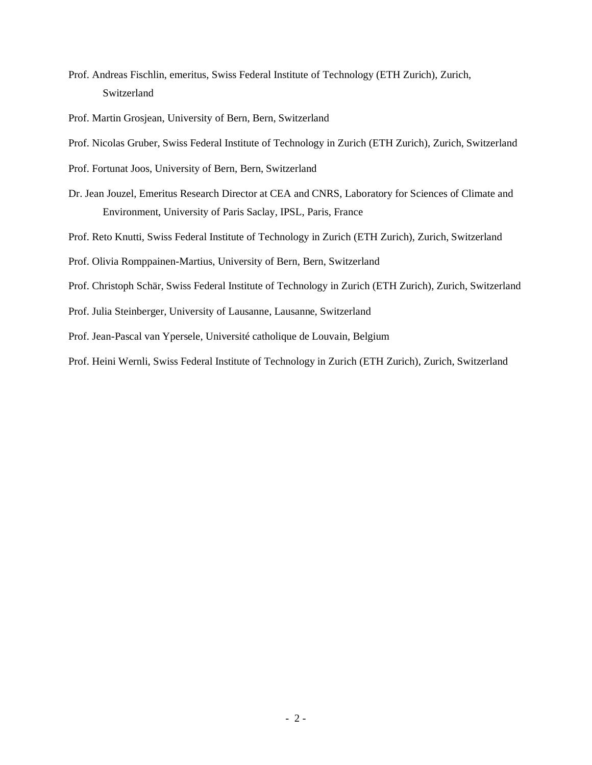- Prof. Andreas Fischlin, emeritus, Swiss Federal Institute of Technology (ETH Zurich), Zurich, Switzerland
- Prof. Martin Grosjean, University of Bern, Bern, Switzerland
- Prof. Nicolas Gruber, Swiss Federal Institute of Technology in Zurich (ETH Zurich), Zurich, Switzerland
- Prof. Fortunat Joos, University of Bern, Bern, Switzerland
- Dr. Jean Jouzel, Emeritus Research Director at CEA and CNRS, Laboratory for Sciences of Climate and Environment, University of Paris Saclay, IPSL, Paris, France
- Prof. Reto Knutti, Swiss Federal Institute of Technology in Zurich (ETH Zurich), Zurich, Switzerland
- Prof. Olivia Romppainen-Martius, University of Bern, Bern, Switzerland
- Prof. Christoph Schär, Swiss Federal Institute of Technology in Zurich (ETH Zurich), Zurich, Switzerland
- Prof. Julia Steinberger, University of Lausanne, Lausanne, Switzerland
- Prof. Jean-Pascal van Ypersele, Université catholique de Louvain, Belgium
- Prof. Heini Wernli, Swiss Federal Institute of Technology in Zurich (ETH Zurich), Zurich, Switzerland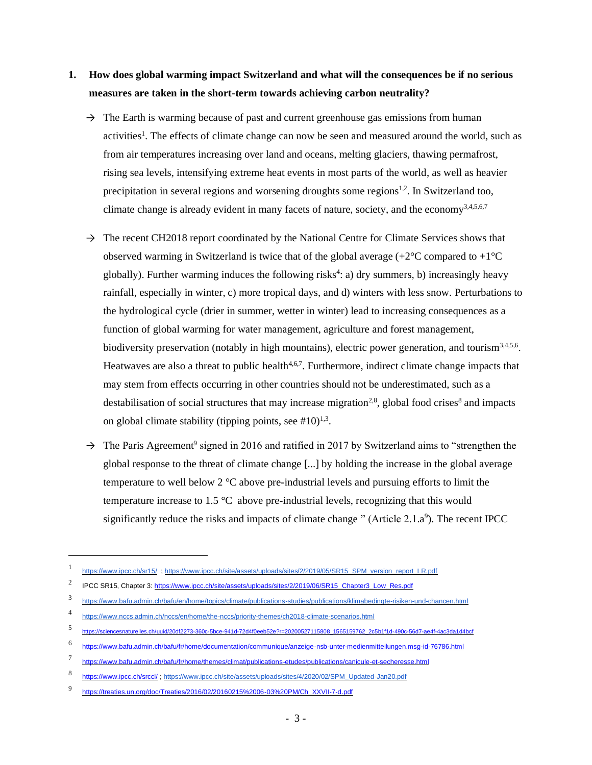## **1. How does global warming impact Switzerland and what will the consequences be if no serious measures are taken in the short-term towards achieving carbon neutrality?**

- $\rightarrow$  The Earth is warming because of past and current greenhouse gas emissions from human activities<sup>1</sup>. The effects of climate change can now be seen and measured around the world, such as from air temperatures increasing over land and oceans, melting glaciers, thawing permafrost, rising sea levels, intensifying extreme heat events in most parts of the world, as well as heavier precipitation in several regions and worsening droughts some regions<sup>1,2</sup>. In Switzerland too, climate change is already evident in many facets of nature, society, and the economy<sup>3,4,5,6,7</sup>
- $\rightarrow$  The recent CH2018 report coordinated by the National Centre for Climate Services shows that observed warming in Switzerland is twice that of the global average  $(+2^{\circ}C \text{ compared to } +1^{\circ}C$ globally). Further warming induces the following risks<sup>4</sup>: a) dry summers, b) increasingly heavy rainfall, especially in winter, c) more tropical days, and d) winters with less snow. Perturbations to the hydrological cycle (drier in summer, wetter in winter) lead to increasing consequences as a function of global warming for water management, agriculture and forest management, biodiversity preservation (notably in high mountains), electric power generation, and tourism<sup>3,4,5,6</sup>. Heatwaves are also a threat to public health<sup>4,6,7</sup>. Furthermore, indirect climate change impacts that may stem from effects occurring in other countries should not be underestimated, such as a destabilisation of social structures that may increase migration<sup>2,8</sup>, global food crises<sup>8</sup> and impacts on global climate stability (tipping points, see  $\#10$ )<sup>1,3</sup>.
- $\rightarrow$  The Paris Agreement<sup>9</sup> signed in 2016 and ratified in 2017 by Switzerland aims to "strengthen the global response to the threat of climate change [...] by holding the increase in the global average temperature to well below 2 °C above pre-industrial levels and pursuing efforts to limit the temperature increase to 1.5 °C above pre-industrial levels, recognizing that this would significantly reduce the risks and impacts of climate change " (Article  $2.1.a<sup>9</sup>$ ). The recent IPCC

<sup>1</sup> https://www.ipcc.ch/sr15/[; https://www.ipcc.ch/site/assets/uploads/sites/2/2019/05/SR15\\_SPM\\_version\\_report\\_LR.pdf](https://www.ipcc.ch/site/assets/uploads/sites/2/2019/05/SR15_SPM_version_report_LR.pdf)

<sup>2</sup> IPCC SR15, Chapter 3: [https://www.ipcc.ch/site/assets/uploads/sites/2/2019/06/SR15\\_Chapter3\\_Low\\_Res.pdf](https://www.ipcc.ch/site/assets/uploads/sites/2/2019/06/SR15_Chapter3_Low_Res.pdf)

<sup>3</sup> <https://www.bafu.admin.ch/bafu/en/home/topics/climate/publications-studies/publications/klimabedingte-risiken-und-chancen.html>

<sup>4</sup> <https://www.nccs.admin.ch/nccs/en/home/the-nccs/priority-themes/ch2018-climate-scenarios.html>

<sup>5</sup> [https://sciencesnaturelles.ch/uuid/20df2273-360c-5bce-941d-72d4f0eeb52e?r=20200527115808\\_1565159762\\_2c5b1f1d-490c-56d7-ae4f-4ac3da1d4bcf](https://sciencesnaturelles.ch/uuid/20df2273-360c-5bce-941d-72d4f0eeb52e?r=20200527115808_1565159762_2c5b1f1d-490c-56d7-ae4f-4ac3da1d4bcf)

<sup>6</sup> <https://www.bafu.admin.ch/bafu/fr/home/documentation/communique/anzeige-nsb-unter-medienmitteilungen.msg-id-76786.html>

<sup>7</sup> <https://www.bafu.admin.ch/bafu/fr/home/themes/climat/publications-etudes/publications/canicule-et-secheresse.html>

<sup>8</sup> <https://www.ipcc.ch/srccl/> ; [https://www.ipcc.ch/site/assets/uploads/sites/4/2020/02/SPM\\_Updated-Jan20.pdf](https://www.ipcc.ch/site/assets/uploads/sites/4/2020/02/SPM_Updated-Jan20.pdf)

<sup>9</sup> [https://treaties.un.org/doc/Treaties/2016/02/20160215%2006-03%20PM/Ch\\_XXVII-7-d.pdf](https://treaties.un.org/doc/Treaties/2016/02/20160215%2006-03%20PM/Ch_XXVII-7-d.pdf)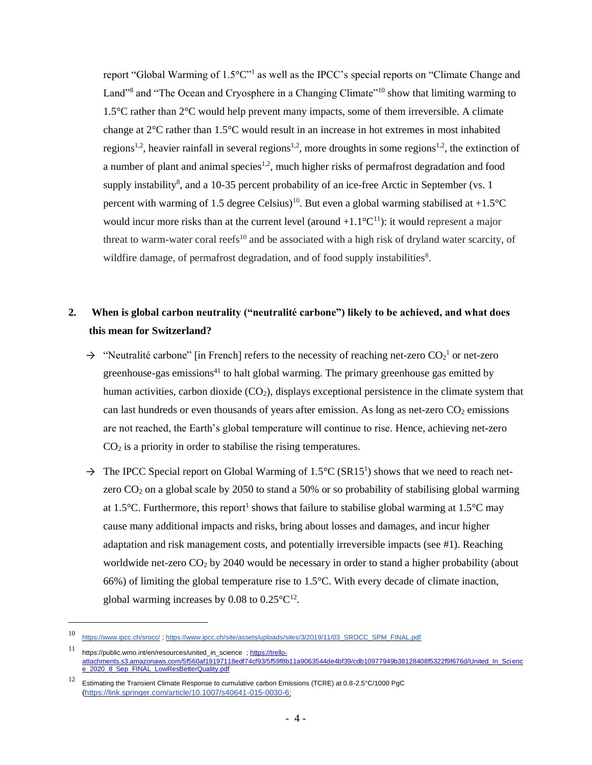report "Global Warming of 1.5°C"<sup>1</sup> as well as the IPCC's special reports on "Climate Change and Land"<sup>8</sup> and "The Ocean and Cryosphere in a Changing Climate"<sup>10</sup> show that limiting warming to 1.5°C rather than 2°C would help prevent many impacts, some of them irreversible. A climate change at 2°C rather than 1.5°C would result in an increase in hot extremes in most inhabited regions<sup>1,2</sup>, heavier rainfall in several regions<sup>1,2</sup>, more droughts in some regions<sup>1,2</sup>, the extinction of a number of plant and animal species<sup>1,2</sup>, much higher risks of permafrost degradation and food supply instability<sup>8</sup>, and a 10-35 percent probability of an ice-free Arctic in September (vs. 1) percent with warming of 1.5 degree Celsius)<sup>10</sup>. But even a global warming stabilised at +1.5°C would incur more risks than at the current level (around  $+1.1^{\circ}C^{11}$ ): it would represent a major threat to warm-water coral reefs<sup>10</sup> and be associated with a high risk of dryland water scarcity, of wildfire damage, of permafrost degradation, and of food supply instabilities<sup>8</sup>.

### **2. When is global carbon neutrality ("neutralité carbone") likely to be achieved, and what does this mean for Switzerland?**

- $\rightarrow$  "Neutralité carbone" [in French] refers to the necessity of reaching net-zero CO<sub>2</sub><sup>1</sup> or net-zero greenhouse-gas emissions<sup> $41$ </sup> to halt global warming. The primary greenhouse gas emitted by human activities, carbon dioxide (CO<sub>2</sub>), displays exceptional persistence in the climate system that can last hundreds or even thousands of years after emission. As long as net-zero  $CO<sub>2</sub>$  emissions are not reached, the Earth's global temperature will continue to rise. Hence, achieving net-zero  $CO<sub>2</sub>$  is a priority in order to stabilise the rising temperatures.
- $\rightarrow$  The IPCC Special report on Global Warming of 1.5°C (SR15<sup>1</sup>) shows that we need to reach netzero  $CO<sub>2</sub>$  on a global scale by 2050 to stand a 50% or so probability of stabilising global warming at 1.5°C. Furthermore, this report<sup>1</sup> shows that failure to stabilise global warming at  $1.5$ °C may cause many additional impacts and risks, bring about losses and damages, and incur higher adaptation and risk management costs, and potentially irreversible impacts (see #1). Reaching worldwide net-zero CO<sub>2</sub> by 2040 would be necessary in order to stand a higher probability (about 66%) of limiting the global temperature rise to 1.5°C. With every decade of climate inaction, global warming increases by 0.08 to  $0.25^{\circ}C^{12}$ .

<sup>10</sup> <https://www.ipcc.ch/srocc/> [; https://www.ipcc.ch/site/assets/uploads/sites/3/2019/11/03\\_SROCC\\_SPM\\_FINAL.pdf](https://www.ipcc.ch/site/assets/uploads/sites/3/2019/11/03_SROCC_SPM_FINAL.pdf)

<sup>11</sup> https://public.wmo.int/en/resources/united\_in\_science[; https://trello](https://trello-attachments.s3.amazonaws.com/5f560af19197118edf74cf93/5f59f8b11a9063544de4bf39/cdb10977949b38128408f5322f9f676d/United_In_Science_2020_8_Sep_FINAL_LowResBetterQuality.pdf)[attachments.s3.amazonaws.com/5f560af19197118edf74cf93/5f59f8b11a9063544de4bf39/cdb10977949b38128408f5322f9f676d/United\\_In\\_Scienc](https://trello-attachments.s3.amazonaws.com/5f560af19197118edf74cf93/5f59f8b11a9063544de4bf39/cdb10977949b38128408f5322f9f676d/United_In_Science_2020_8_Sep_FINAL_LowResBetterQuality.pdf) [e\\_2020\\_8\\_Sep\\_FINAL\\_LowResBetterQuality.pdf](https://trello-attachments.s3.amazonaws.com/5f560af19197118edf74cf93/5f59f8b11a9063544de4bf39/cdb10977949b38128408f5322f9f676d/United_In_Science_2020_8_Sep_FINAL_LowResBetterQuality.pdf)

<sup>12</sup> Estimating the Transient Climate Response to cumulative carbon Emissions (TCRE) at 0.8-2.5°C/1000 PgC (https://link.springer.com/article/10.1007/s40641-015-0030-6;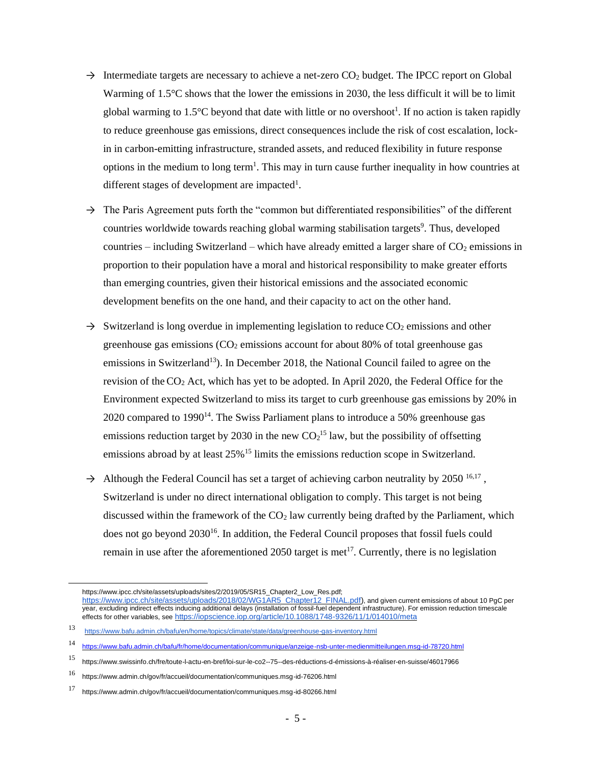- $\rightarrow$  Intermediate targets are necessary to achieve a net-zero CO<sub>2</sub> budget. The IPCC report on Global Warming of 1.5°C shows that the lower the emissions in 2030, the less difficult it will be to limit global warming to 1.5 $\degree$ C beyond that date with little or no overshoot<sup>1</sup>. If no action is taken rapidly to reduce greenhouse gas emissions, direct consequences include the risk of cost escalation, lockin in carbon-emitting infrastructure, stranded assets, and reduced flexibility in future response options in the medium to long term<sup>1</sup>. This may in turn cause further inequality in how countries at different stages of development are impacted<sup>1</sup>.
- $\rightarrow$  The Paris Agreement puts forth the "common but differentiated responsibilities" of the different countries worldwide towards reaching global warming stabilisation targets<sup>9</sup>. Thus, developed countries – including Switzerland – which have already emitted a larger share of  $CO<sub>2</sub>$  emissions in proportion to their population have a moral and historical responsibility to make greater efforts than emerging countries, given their historical emissions and the associated economic development benefits on the one hand, and their capacity to act on the other hand.
- $\rightarrow$  Switzerland is long overdue in implementing legislation to reduce CO<sub>2</sub> emissions and other greenhouse gas emissions  $(CO<sub>2</sub>$  emissions account for about 80% of total greenhouse gas emissions in Switzerland<sup>13</sup>). In December 2018, the National Council failed to agree on the revision of the CO<sup>2</sup> Act, which has yet to be adopted. In April 2020, the Federal Office for the Environment expected Switzerland to miss its target to curb greenhouse gas emissions by 20% in 2020 compared to  $1990<sup>14</sup>$ . The Swiss Parliament plans to introduce a 50% greenhouse gas emissions reduction target by 2030 in the new  $CO<sub>2</sub><sup>15</sup>$  law, but the possibility of offsetting emissions abroad by at least 25%<sup>15</sup> limits the emissions reduction scope in Switzerland.
- $\rightarrow$  Although the Federal Council has set a target of achieving carbon neutrality by 2050<sup>16,17</sup>, Switzerland is under no direct international obligation to comply. This target is not being discussed within the framework of the  $CO<sub>2</sub>$  law currently being drafted by the Parliament, which does not go beyond 2030<sup>16</sup>. In addition, the Federal Council proposes that fossil fuels could remain in use after the aforementioned 2050 target is met<sup>17</sup>. Currently, there is no legislation

https://www.ipcc.ch/site/assets/uploads/sites/2/2019/05/SR15\_Chapter2\_Low\_Res.pdf;

https://www.ipcc.ch/site/assets/uploads/2018/02/WG1AR5\_Chapter12\_FINAL.pdf), and given current emissions of about 10 PgC per year, excluding indirect effects inducing additional delays (installation of fossil-fuel dependent infrastructure). For emission reduction timescale effects for other variables, see https://iopscience.iop.org/article/10.1088/1748-9326/11/1/014010/meta

<sup>13</sup> <https://www.bafu.admin.ch/bafu/en/home/topics/climate/state/data/greenhouse-gas-inventory.html>

<sup>14</sup> <https://www.bafu.admin.ch/bafu/fr/home/documentation/communique/anzeige-nsb-unter-medienmitteilungen.msg-id-78720.html>

<sup>15</sup> [https://www.swissinfo.ch/fre/toute-l-actu-en-bref/loi-sur-le-co2--75--des-réductions-d-émissions-à-réaliser-en-suisse/46017966](https://www.swissinfo.ch/fre/toute-l-actu-en-bref/loi-sur-le-co2--75--des-r%C3%A9ductions-d-%C3%A9missions-%C3%A0-r%C3%A9aliser-en-suisse/46017966)

<sup>16</sup> <https://www.admin.ch/gov/fr/accueil/documentation/communiques.msg-id-76206.html>

<sup>17</sup> <https://www.admin.ch/gov/fr/accueil/documentation/communiques.msg-id-80266.html>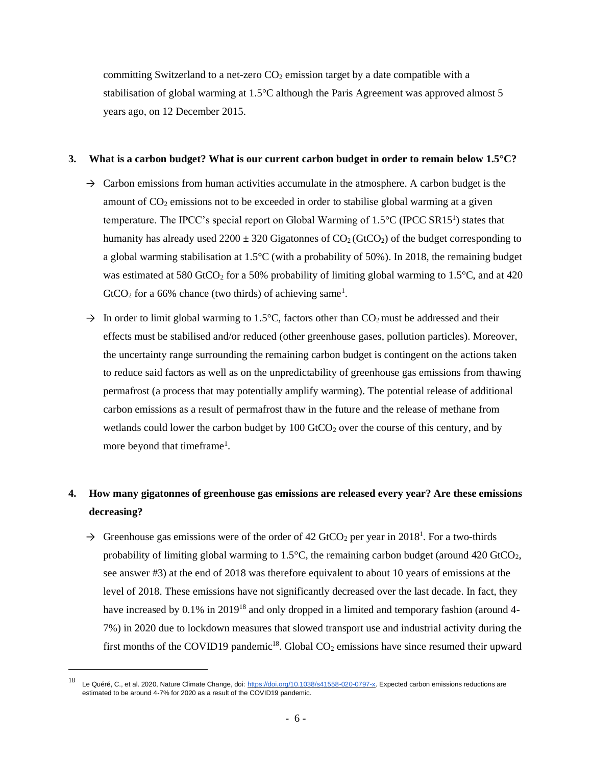committing Switzerland to a net-zero  $CO<sub>2</sub>$  emission target by a date compatible with a stabilisation of global warming at 1.5°C although the Paris Agreement was approved almost 5 years ago, on 12 December 2015.

### **3. What is a carbon budget? What is our current carbon budget in order to remain below 1.5°C?**

- $\rightarrow$  Carbon emissions from human activities accumulate in the atmosphere. A carbon budget is the amount of  $CO<sub>2</sub>$  emissions not to be exceeded in order to stabilise global warming at a given temperature. The IPCC's special report on Global Warming of  $1.5^{\circ}C$  (IPCC SR15<sup>1</sup>) states that humanity has already used  $2200 \pm 320$  Gigatonnes of  $CO_2$  (GtCO<sub>2</sub>) of the budget corresponding to a global warming stabilisation at 1.5°C (with a probability of 50%). In 2018, the remaining budget was estimated at 580 GtCO<sub>2</sub> for a 50% probability of limiting global warming to 1.5 $\degree$ C, and at 420  $GtCO<sub>2</sub>$  for a 66% chance (two thirds) of achieving same<sup>1</sup>.
- $\rightarrow$  In order to limit global warming to 1.5°C, factors other than CO<sub>2</sub> must be addressed and their effects must be stabilised and/or reduced (other greenhouse gases, pollution particles). Moreover, the uncertainty range surrounding the remaining carbon budget is contingent on the actions taken to reduce said factors as well as on the unpredictability of greenhouse gas emissions from thawing permafrost (a process that may potentially amplify warming). The potential release of additional carbon emissions as a result of permafrost thaw in the future and the release of methane from wetlands could lower the carbon budget by  $100 \text{ GtCO}_2$  over the course of this century, and by more beyond that timeframe<sup>1</sup>.

# **4. How many gigatonnes of greenhouse gas emissions are released every year? Are these emissions decreasing?**

 $\rightarrow$  Greenhouse gas emissions were of the order of 42 GtCO<sub>2</sub> per year in 2018<sup>1</sup>. For a two-thirds probability of limiting global warming to  $1.5^{\circ}$ C, the remaining carbon budget (around 420 GtCO<sub>2</sub>, see answer #3) at the end of 2018 was therefore equivalent to about 10 years of emissions at the level of 2018. These emissions have not significantly decreased over the last decade. In fact, they have increased by 0.1% in 2019<sup>18</sup> and only dropped in a limited and temporary fashion (around 4-7%) in 2020 due to lockdown measures that slowed transport use and industrial activity during the first months of the COVID19 pandemic<sup>18</sup>. Global  $CO<sub>2</sub>$  emissions have since resumed their upward

<sup>&</sup>lt;sup>18</sup> Le Quéré, C., et al. 2020, Nature Climate Change, doi: [https://doi.org/10.1038/s41558-020-0797-x.](https://doi.org/10.1038/s41558-020-0797-x) Expected carbon emissions reductions are estimated to be around 4-7% for 2020 as a result of the COVID19 pandemic.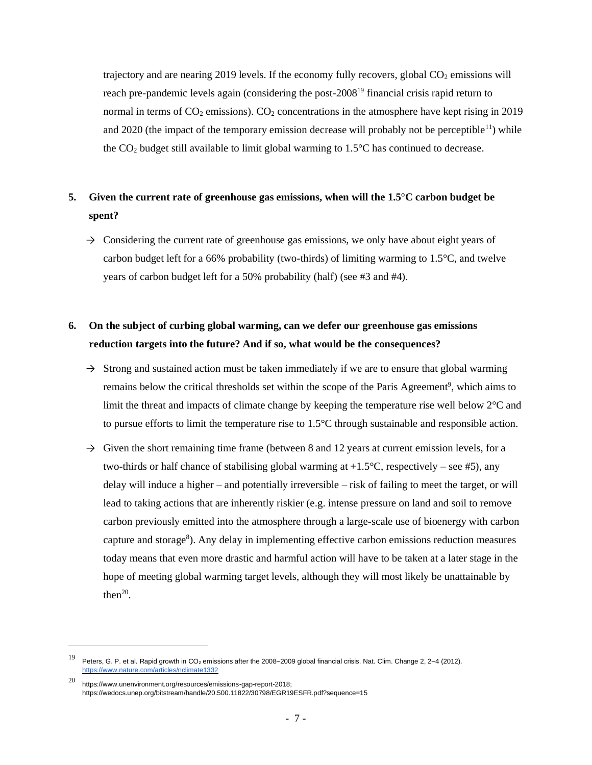trajectory and are nearing 2019 levels. If the economy fully recovers, global  $CO<sub>2</sub>$  emissions will reach pre-pandemic levels again (considering the post-2008<sup>19</sup> financial crisis rapid return to normal in terms of  $CO_2$  emissions).  $CO_2$  concentrations in the atmosphere have kept rising in 2019 and 2020 (the impact of the temporary emission decrease will probably not be perceptible<sup>11</sup>) while the  $CO<sub>2</sub>$  budget still available to limit global warming to 1.5 $\degree$ C has continued to decrease.

## **5. Given the current rate of greenhouse gas emissions, when will the 1.5°C carbon budget be spent?**

 $\rightarrow$  Considering the current rate of greenhouse gas emissions, we only have about eight years of carbon budget left for a 66% probability (two-thirds) of limiting warming to  $1.5^{\circ}$ C, and twelve years of carbon budget left for a 50% probability (half) (see #3 and #4).

## **6. On the subject of curbing global warming, can we defer our greenhouse gas emissions reduction targets into the future? And if so, what would be the consequences?**

- $\rightarrow$  Strong and sustained action must be taken immediately if we are to ensure that global warming remains below the critical thresholds set within the scope of the Paris Agreement<sup>9</sup>, which aims to limit the threat and impacts of climate change by keeping the temperature rise well below 2°C and to pursue efforts to limit the temperature rise to 1.5°C through sustainable and responsible action.
- $\rightarrow$  Given the short remaining time frame (between 8 and 12 years at current emission levels, for a two-thirds or half chance of stabilising global warming at  $+1.5^{\circ}$ C, respectively – see #5), any delay will induce a higher – and potentially irreversible – risk of failing to meet the target, or will lead to taking actions that are inherently riskier (e.g. intense pressure on land and soil to remove carbon previously emitted into the atmosphere through a large-scale use of bioenergy with carbon capture and storage<sup>8</sup>). Any delay in implementing effective carbon emissions reduction measures today means that even more drastic and harmful action will have to be taken at a later stage in the hope of meeting global warming target levels, although they will most likely be unattainable by then $20$ .

<sup>19</sup> Peters, G. P. et al. Rapid growth in CO<sup>2</sup> emissions after the 2008–2009 global financial crisis. Nat. Clim. Change 2, 2–4 (2012). <https://www.nature.com/articles/nclimate1332>

<sup>20</sup> [https://www.unenvironment.org/resources/emissions-gap-report-2018;](https://www.unenvironment.org/resources/emissions-gap-report-2018) https://wedocs.unep.org/bitstream/handle/20.500.11822/30798/EGR19ESFR.pdf?sequence=15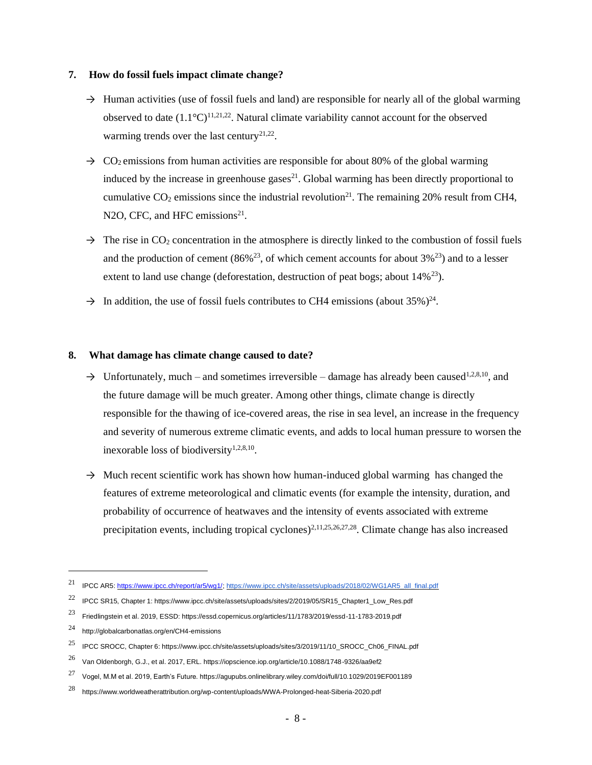#### **7. How do fossil fuels impact climate change?**

- $\rightarrow$  Human activities (use of fossil fuels and land) are responsible for nearly all of the global warming observed to date  $(1.1^{\circ}C)^{11,21,22}$ . Natural climate variability cannot account for the observed warming trends over the last century<sup>21,22</sup>.
- $\rightarrow$  CO<sub>2</sub> emissions from human activities are responsible for about 80% of the global warming induced by the increase in greenhouse gases $^{21}$ . Global warming has been directly proportional to cumulative  $CO_2$  emissions since the industrial revolution<sup>21</sup>. The remaining 20% result from CH4, N2O, CFC, and HFC emissions $21$ .
- $\rightarrow$  The rise in CO<sub>2</sub> concentration in the atmosphere is directly linked to the combustion of fossil fuels and the production of cement (86%<sup>23</sup>, of which cement accounts for about 3%<sup>23</sup>) and to a lesser extent to land use change (deforestation, destruction of peat bogs; about  $14\%^{23}$ ).
- $\rightarrow$  In addition, the use of fossil fuels contributes to CH4 emissions (about 35%)<sup>24</sup>.

### **8. What damage has climate change caused to date?**

- $\rightarrow$  Unfortunately, much and sometimes irreversible damage has already been caused<sup>1,2,8,10</sup>, and the future damage will be much greater. Among other things, climate change is directly responsible for the thawing of ice-covered areas, the rise in sea level, an increase in the frequency and severity of numerous extreme climatic events, and adds to local human pressure to worsen the inexorable loss of biodiversity $1,2,8,10$ .
- $\rightarrow$  Much recent scientific work has shown how human-induced global warming has changed the features of extreme meteorological and climatic events (for example the intensity, duration, and probability of occurrence of heatwaves and the intensity of events associated with extreme precipitation events, including tropical cyclones)<sup>2,11,25,26,27,28</sup>. Climate change has also increased

<sup>21</sup> IPCC AR5[: https://www.ipcc.ch/report/ar5/wg1/;](https://www.ipcc.ch/report/ar5/wg1/) [https://www.ipcc.ch/site/assets/uploads/2018/02/WG1AR5\\_all\\_final.pdf](https://www.ipcc.ch/site/assets/uploads/2018/02/WG1AR5_all_final.pdf)

<sup>&</sup>lt;sup>22</sup> IPCC SR15, Chapter 1: https://www.ipcc.ch/site/assets/uploads/sites/2/2019/05/SR15\_Chapter1\_Low\_Res.pdf

<sup>23</sup> Friedlingstein et al. 2019, ESSD: https://essd.copernicus.org/articles/11/1783/2019/essd-11-1783-2019.pdf

<sup>24</sup> http://globalcarbonatlas.org/en/CH4-emissions

<sup>25</sup> IPCC SROCC, Chapter 6: https://www.ipcc.ch/site/assets/uploads/sites/3/2019/11/10\_SROCC\_Ch06\_FINAL.pdf

<sup>26</sup> Van Oldenborgh, G.J., et al. 2017, ERL. https://iopscience.iop.org/article/10.1088/1748-9326/aa9ef2

<sup>27</sup> Vogel, M.M et al. 2019, Earth's Future. https://agupubs.onlinelibrary.wiley.com/doi/full/10.1029/2019EF001189

<sup>28</sup> https://www.worldweatherattribution.org/wp-content/uploads/WWA-Prolonged-heat-Siberia-2020.pdf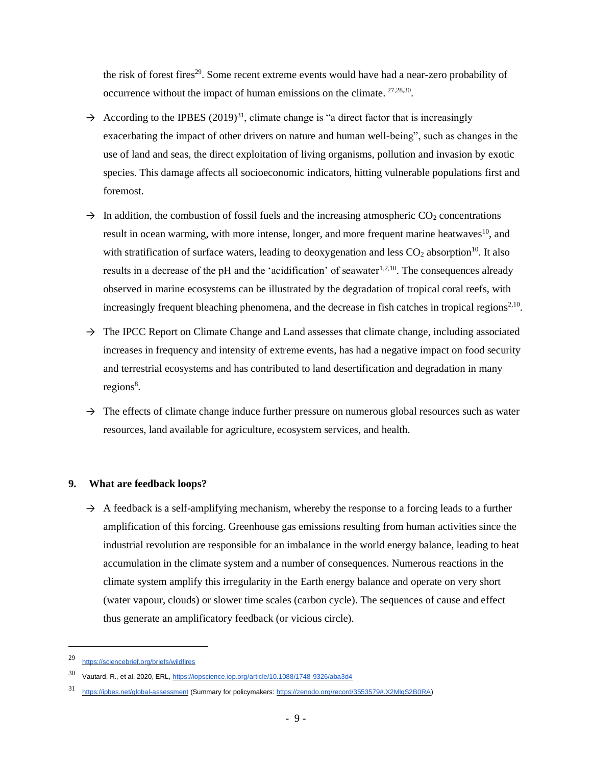the risk of forest fires<sup>29</sup>. Some recent extreme events would have had a near-zero probability of occurrence without the impact of human emissions on the climate.  $27,28,30$ .

- $\rightarrow$  According to the IPBES (2019)<sup>31</sup>, climate change is "a direct factor that is increasingly exacerbating the impact of other drivers on nature and human well-being", such as changes in the use of land and seas, the direct exploitation of living organisms, pollution and invasion by exotic species. This damage affects all socioeconomic indicators, hitting vulnerable populations first and foremost.
- $\rightarrow$  In addition, the combustion of fossil fuels and the increasing atmospheric CO<sub>2</sub> concentrations result in ocean warming, with more intense, longer, and more frequent marine heatwaves<sup>10</sup>, and with stratification of surface waters, leading to deoxygenation and less  $CO<sub>2</sub>$  absorption<sup>10</sup>. It also results in a decrease of the pH and the 'acidification' of seawater $1,2,10$ . The consequences already observed in marine ecosystems can be illustrated by the degradation of tropical coral reefs, with increasingly frequent bleaching phenomena, and the decrease in fish catches in tropical regions<sup>2,10</sup>.
- $\rightarrow$  The IPCC Report on Climate Change and Land assesses that climate change, including associated increases in frequency and intensity of extreme events, has had a negative impact on food security and terrestrial ecosystems and has contributed to land desertification and degradation in many regions<sup>8</sup>.
- $\rightarrow$  The effects of climate change induce further pressure on numerous global resources such as water resources, land available for agriculture, ecosystem services, and health.

### **9. What are feedback loops?**

 $\rightarrow$  A feedback is a self-amplifying mechanism, whereby the response to a forcing leads to a further amplification of this forcing. Greenhouse gas emissions resulting from human activities since the industrial revolution are responsible for an imbalance in the world energy balance, leading to heat accumulation in the climate system and a number of consequences. Numerous reactions in the climate system amplify this irregularity in the Earth energy balance and operate on very short (water vapour, clouds) or slower time scales (carbon cycle). The sequences of cause and effect thus generate an amplificatory feedback (or vicious circle).

<sup>29</sup> <https://sciencebrief.org/briefs/wildfires>

<sup>30</sup> Vautard, R., et al. 2020, ERL[, https://iopscience.iop.org/article/10.1088/1748-9326/aba3d4](https://iopscience.iop.org/article/10.1088/1748-9326/aba3d4)

<https://ipbes.net/global-assessment> (Summary for policymakers: [https://zenodo.org/record/3553579#.X2MlqS2B0RA\)](https://zenodo.org/record/3553579#.X2MlqS2B0RA)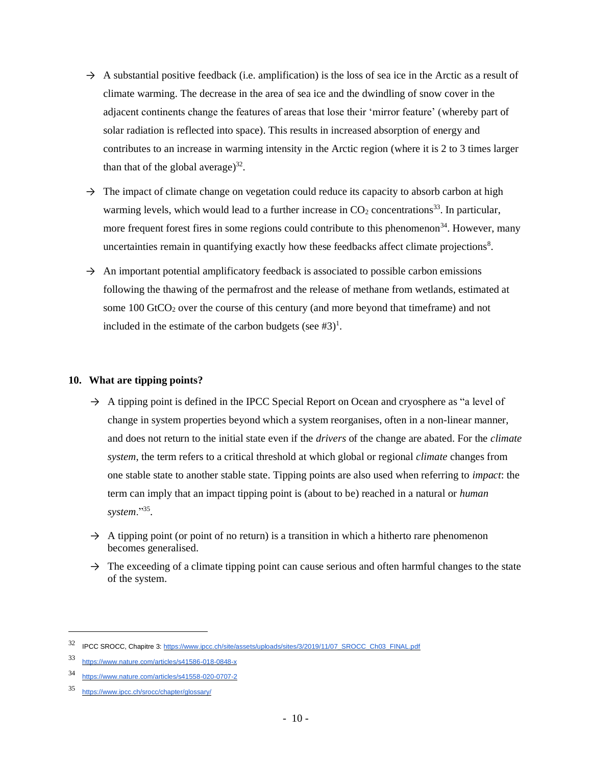- $\rightarrow$  A substantial positive feedback (i.e. amplification) is the loss of sea ice in the Arctic as a result of climate warming. The decrease in the area of sea ice and the dwindling of snow cover in the adjacent continents change the features of areas that lose their 'mirror feature' (whereby part of solar radiation is reflected into space). This results in increased absorption of energy and contributes to an increase in warming intensity in the Arctic region (where it is 2 to 3 times larger than that of the global average) $^{32}$ .
- $\rightarrow$  The impact of climate change on vegetation could reduce its capacity to absorb carbon at high warming levels, which would lead to a further increase in  $CO<sub>2</sub>$  concentrations<sup>33</sup>. In particular, more frequent forest fires in some regions could contribute to this phenomenon<sup>34</sup>. However, many uncertainties remain in quantifying exactly how these feedbacks affect climate projections<sup>8</sup>.
- $\rightarrow$  An important potential amplificatory feedback is associated to possible carbon emissions following the thawing of the permafrost and the release of methane from wetlands, estimated at some  $100$  GtCO<sub>2</sub> over the course of this century (and more beyond that timeframe) and not included in the estimate of the carbon budgets (see  $#3$ )<sup>1</sup>.

### **10. What are tipping points?**

- $\rightarrow$  A tipping point is defined in the IPCC Special Report on Ocean and cryosphere as "a level of change in system properties beyond which a system reorganises, often in a non-linear manner, and does not return to the initial state even if the *drivers* of the change are abated. For the *climate system*, the term refers to a critical threshold at which global or regional *climate* changes from one stable state to another stable state. Tipping points are also used when referring to *impact*: the term can imply that an impact tipping point is (about to be) reached in a natural or *human system*."<sup>35</sup> .
- $\rightarrow$  A tipping point (or point of no return) is a transition in which a hitherto rare phenomenon becomes generalised.
- $\rightarrow$  The exceeding of a climate tipping point can cause serious and often harmful changes to the state of the system.

<sup>32</sup> IPCC SROCC, Chapitre 3[: https://www.ipcc.ch/site/assets/uploads/sites/3/2019/11/07\\_SROCC\\_Ch03\\_FINAL.pdf](https://www.ipcc.ch/site/assets/uploads/sites/3/2019/11/07_SROCC_Ch03_FINAL.pdf)

<sup>33</sup> <https://www.nature.com/articles/s41586-018-0848-x>

<sup>34</sup> <https://www.nature.com/articles/s41558-020-0707-2>

<sup>35</sup> <https://www.ipcc.ch/srocc/chapter/glossary/>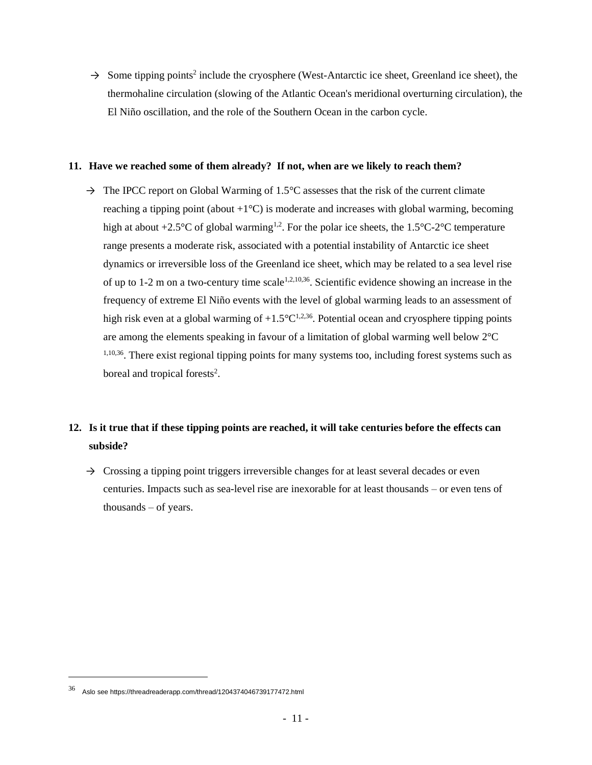→ Some tipping points<sup>2</sup> include the cryosphere (West-Antarctic ice sheet, Greenland ice sheet), the thermohaline circulation (slowing of the Atlantic Ocean's meridional overturning circulation), the El Niño oscillation, and the role of the Southern Ocean in the carbon cycle.

#### **11. Have we reached some of them already? If not, when are we likely to reach them?**

 $\rightarrow$  The IPCC report on Global Warming of 1.5°C assesses that the risk of the current climate reaching a tipping point (about  $+1^{\circ}C$ ) is moderate and increases with global warming, becoming high at about +2.5°C of global warming<sup>1,2</sup>. For the polar ice sheets, the 1.5°C-2°C temperature range presents a moderate risk, associated with a potential instability of Antarctic ice sheet dynamics or irreversible loss of the Greenland ice sheet, which may be related to a sea level rise of up to 1-2 m on a two-century time scale<sup>1,2,10,36</sup>. Scientific evidence showing an increase in the frequency of extreme El Niño events with the level of global warming leads to an assessment of high risk even at a global warming of  $+1.5^{\circ}C^{1,2,36}$ . Potential ocean and cryosphere tipping points are among the elements speaking in favour of a limitation of global warming well below 2°C <sup>1,10,36</sup>. There exist regional tipping points for many systems too, including forest systems such as boreal and tropical forests<sup>2</sup>.

## **12. Is it true that if these tipping points are reached, it will take centuries before the effects can subside?**

 $\rightarrow$  Crossing a tipping point triggers irreversible changes for at least several decades or even centuries. Impacts such as sea-level rise are inexorable for at least thousands – or even tens of thousands – of years.

<sup>36</sup> Aslo see https://threadreaderapp.com/thread/1204374046739177472.html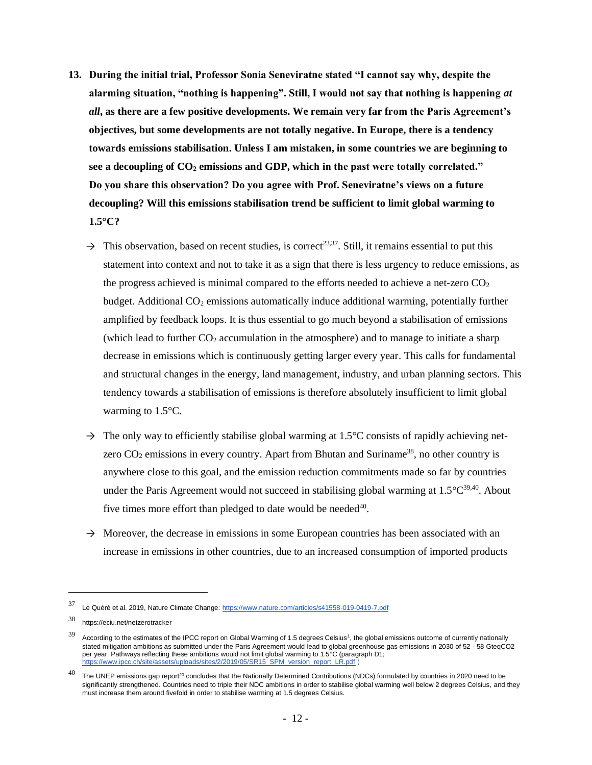- **13. During the initial trial, Professor Sonia Seneviratne stated "I cannot say why, despite the alarming situation, "nothing is happening". Still, I would not say that nothing is happening** *at all***, as there are a few positive developments. We remain very far from the Paris Agreement's objectives, but some developments are not totally negative. In Europe, there is a tendency towards emissions stabilisation. Unless I am mistaken, in some countries we are beginning to see a decoupling of CO<sup>2</sup> emissions and GDP, which in the past were totally correlated." Do you share this observation? Do you agree with Prof. Seneviratne's views on a future decoupling? Will this emissions stabilisation trend be sufficient to limit global warming to 1.5°C?** 
	- $\rightarrow$  This observation, based on recent studies, is correct<sup>23,37</sup>. Still, it remains essential to put this statement into context and not to take it as a sign that there is less urgency to reduce emissions, as the progress achieved is minimal compared to the efforts needed to achieve a net-zero  $CO<sub>2</sub>$ budget. Additional  $CO<sub>2</sub>$  emissions automatically induce additional warming, potentially further amplified by feedback loops. It is thus essential to go much beyond a stabilisation of emissions (which lead to further  $CO<sub>2</sub>$  accumulation in the atmosphere) and to manage to initiate a sharp decrease in emissions which is continuously getting larger every year. This calls for fundamental and structural changes in the energy, land management, industry, and urban planning sectors. This tendency towards a stabilisation of emissions is therefore absolutely insufficient to limit global warming to 1.5°C.
	- $\rightarrow$  The only way to efficiently stabilise global warming at 1.5°C consists of rapidly achieving netzero  $CO<sub>2</sub>$  emissions in every country. Apart from Bhutan and Suriname<sup>38</sup>, no other country is anywhere close to this goal, and the emission reduction commitments made so far by countries under the Paris Agreement would not succeed in stabilising global warming at  $1.5^{\circ}C^{39,40}$ . About five times more effort than pledged to date would be needed<sup>40</sup>.
	- $\rightarrow$  Moreover, the decrease in emissions in some European countries has been associated with an increase in emissions in other countries, due to an increased consumption of imported products

<sup>37</sup> Le Quéré et al. 2019, Nature Climate Change:<https://www.nature.com/articles/s41558-019-0419-7.pdf>

<sup>38</sup> <https://eciu.net/netzerotracker>

 $39$  According to the estimates of the IPCC report on Global Warming of 1.5 degrees Celsius<sup>1</sup>, the global emissions outcome of currently nationally stated mitigation ambitions as submitted under the Paris Agreement would lead to global greenhouse gas emissions in 2030 of 52 - 58 GteqCO2 per year. Pathways reflecting these ambitions would not limit global warming to 1.5°C (paragraph D1;<br>[https://www.ipcc.ch/site/assets/uploads/sites/2/2019/05/SR15\\_SPM\\_version\\_report\\_LR.pdf](https://www.ipcc.ch/site/assets/uploads/sites/2/2019/05/SR15_SPM_version_report_LR.pdf) )

 $^{40}$  The UNEP emissions gap report<sup>20</sup> concludes that the Nationally Determined Contributions (NDCs) formulated by countries in 2020 need to be significantly strengthened. Countries need to triple their NDC ambitions in order to stabilise global warming well below 2 degrees Celsius, and they must increase them around fivefold in order to stabilise warming at 1.5 degrees Celsius.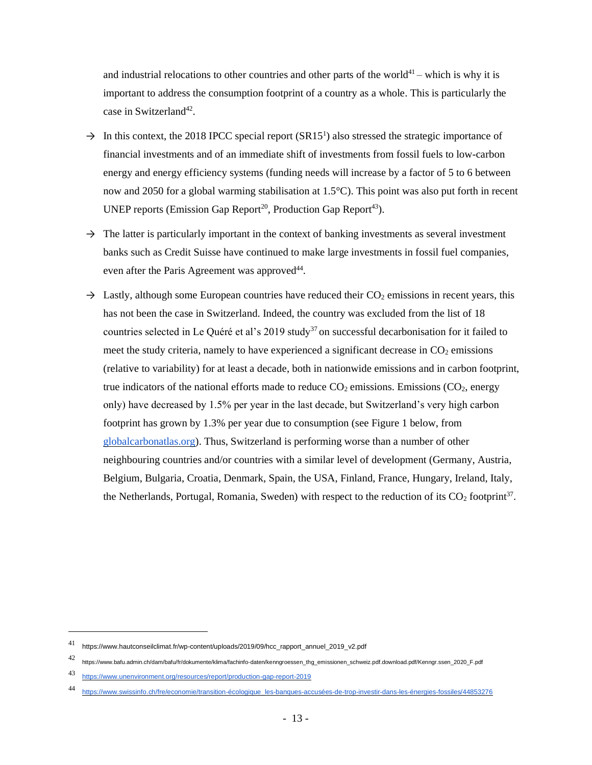and industrial relocations to other countries and other parts of the world<sup>41</sup> – which is why it is important to address the consumption footprint of a country as a whole. This is particularly the case in Switzerland<sup>42</sup>.

- $\rightarrow$  In this context, the 2018 IPCC special report (SR15<sup>1</sup>) also stressed the strategic importance of financial investments and of an immediate shift of investments from fossil fuels to low-carbon energy and energy efficiency systems (funding needs will increase by a factor of 5 to 6 between now and 2050 for a global warming stabilisation at 1.5°C). This point was also put forth in recent UNEP reports (Emission Gap Report<sup>20</sup>, Production Gap Report<sup>43</sup>).
- $\rightarrow$  The latter is particularly important in the context of banking investments as several investment banks such as Credit Suisse have continued to make large investments in fossil fuel companies, even after the Paris Agreement was approved<sup>44</sup>.
- $\rightarrow$  Lastly, although some European countries have reduced their CO<sub>2</sub> emissions in recent years, this has not been the case in Switzerland. Indeed, the country was excluded from the list of 18 countries selected in Le Quéré et al's 2019 study<sup>37</sup> on successful decarbonisation for it failed to meet the study criteria, namely to have experienced a significant decrease in  $CO<sub>2</sub>$  emissions (relative to variability) for at least a decade, both in nationwide emissions and in carbon footprint, true indicators of the national efforts made to reduce  $CO<sub>2</sub>$  emissions. Emissions ( $CO<sub>2</sub>$ , energy only) have decreased by 1.5% per year in the last decade, but Switzerland's very high carbon footprint has grown by 1.3% per year due to consumption (see Figure 1 below, from globalcarbonatlas.org). Thus, Switzerland is performing worse than a number of other neighbouring countries and/or countries with a similar level of development (Germany, Austria, Belgium, Bulgaria, Croatia, Denmark, Spain, the USA, Finland, France, Hungary, Ireland, Italy, the Netherlands, Portugal, Romania, Sweden) with respect to the reduction of its  $CO<sub>2</sub>$  footprint<sup>37</sup>.

<sup>41</sup> https://www.hautconseilclimat.fr/wp-content/uploads/2019/09/hcc\_rapport\_annuel\_2019\_v2.pdf

<sup>42</sup> https://www.bafu.admin.ch/dam/bafu/fr/dokumente/klima/fachinfo-daten/kenngroessen\_thg\_emissionen\_schweiz.pdf.download.pdf/Kenngr.ssen\_2020\_F.pdf

<sup>43</sup> <https://www.unenvironment.org/resources/report/production-gap-report-2019>

<sup>44</sup> [https://www.swissinfo.ch/fre/economie/transition-écologique\\_les-banques-accusées-de-trop-investir-dans-les-énergies-fossiles/44853276](https://www.swissinfo.ch/fre/economie/transition-%C3%A9cologique_les-banques-accus%C3%A9es-de-trop-investir-dans-les-%C3%A9nergies-fossiles/44853276)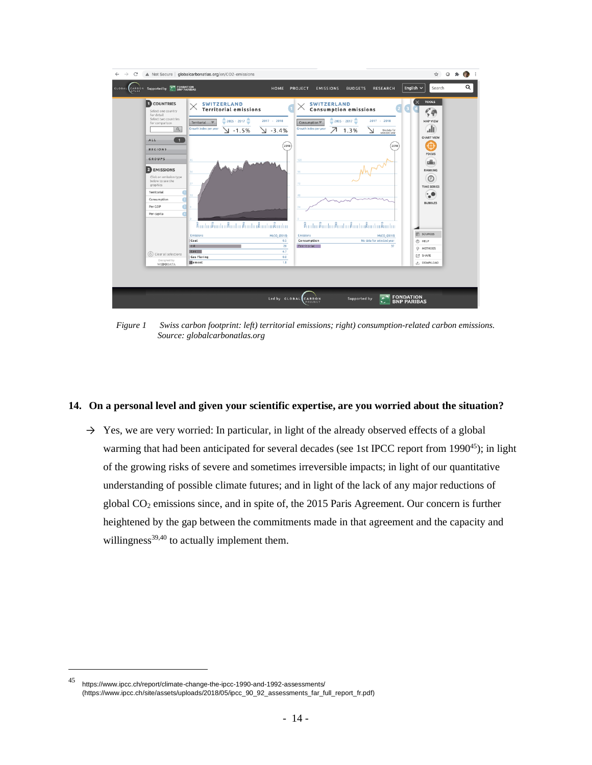

*Figure 1 Swiss carbon footprint: left) territorial emissions; right) consumption-related carbon emissions. Source: globalcarbonatlas.org* 

#### **14. On a personal level and given your scientific expertise, are you worried about the situation?**

 $\rightarrow$  Yes, we are very worried: In particular, in light of the already observed effects of a global warming that had been anticipated for several decades (see 1st IPCC report from 1990<sup>45</sup>); in light of the growing risks of severe and sometimes irreversible impacts; in light of our quantitative understanding of possible climate futures; and in light of the lack of any major reductions of global  $CO<sub>2</sub>$  emissions since, and in spite of, the 2015 Paris Agreement. Our concern is further heightened by the gap between the commitments made in that agreement and the capacity and willingness<sup>39,40</sup> to actually implement them.

<sup>45</sup> https://www.ipcc.ch/report/climate-change-the-ipcc-1990-and-1992-assessments/ (https://www.ipcc.ch/site/assets/uploads/2018/05/ipcc\_90\_92\_assessments\_far\_full\_report\_fr.pdf)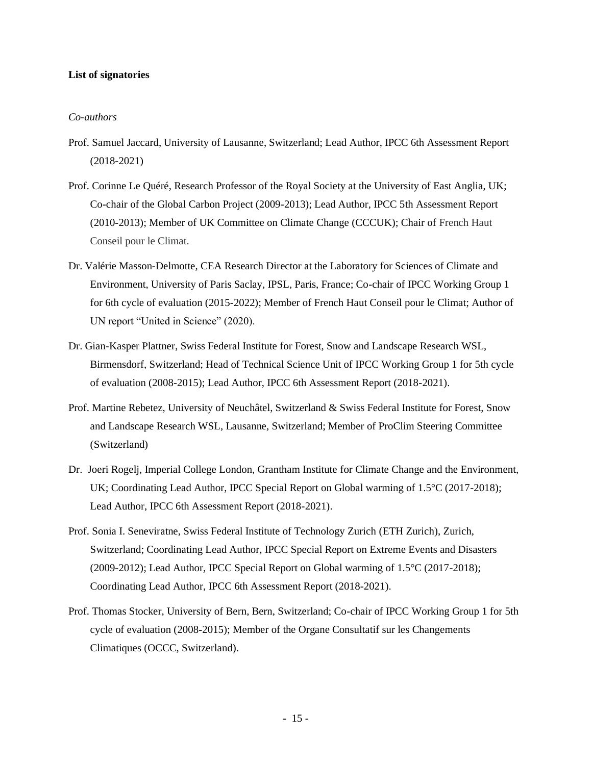### **List of signatories**

#### *Co-authors*

- Prof. Samuel Jaccard, University of Lausanne, Switzerland; Lead Author, IPCC 6th Assessment Report (2018-2021)
- Prof. Corinne Le Quéré, Research Professor of the Royal Society at the University of East Anglia, UK; Co-chair of the Global Carbon Project (2009-2013); Lead Author, IPCC 5th Assessment Report (2010-2013); Member of UK Committee on Climate Change (CCCUK); Chair of French Haut Conseil pour le Climat.
- Dr. Valérie Masson-Delmotte, CEA Research Director at the Laboratory for Sciences of Climate and Environment, University of Paris Saclay, IPSL, Paris, France; Co-chair of IPCC Working Group 1 for 6th cycle of evaluation (2015-2022); Member of French Haut Conseil pour le Climat; Author of UN report "United in Science" (2020).
- Dr. Gian-Kasper Plattner, Swiss Federal Institute for Forest, Snow and Landscape Research WSL, Birmensdorf, Switzerland; Head of Technical Science Unit of IPCC Working Group 1 for 5th cycle of evaluation (2008-2015); Lead Author, IPCC 6th Assessment Report (2018-2021).
- Prof. Martine Rebetez, University of Neuchâtel, Switzerland & Swiss Federal Institute for Forest, Snow and Landscape Research WSL, Lausanne, Switzerland; Member of ProClim Steering Committee (Switzerland)
- Dr. Joeri Rogelj, Imperial College London, Grantham Institute for Climate Change and the Environment, UK; Coordinating Lead Author, IPCC Special Report on Global warming of 1.5°C (2017-2018); Lead Author, IPCC 6th Assessment Report (2018-2021).
- Prof. Sonia I. Seneviratne, Swiss Federal Institute of Technology Zurich (ETH Zurich), Zurich, Switzerland; Coordinating Lead Author, IPCC Special Report on Extreme Events and Disasters (2009-2012); Lead Author, IPCC Special Report on Global warming of 1.5°C (2017-2018); Coordinating Lead Author, IPCC 6th Assessment Report (2018-2021).
- Prof. Thomas Stocker, University of Bern, Bern, Switzerland; Co-chair of IPCC Working Group 1 for 5th cycle of evaluation (2008-2015); Member of the Organe Consultatif sur les Changements Climatiques (OCCC, Switzerland).